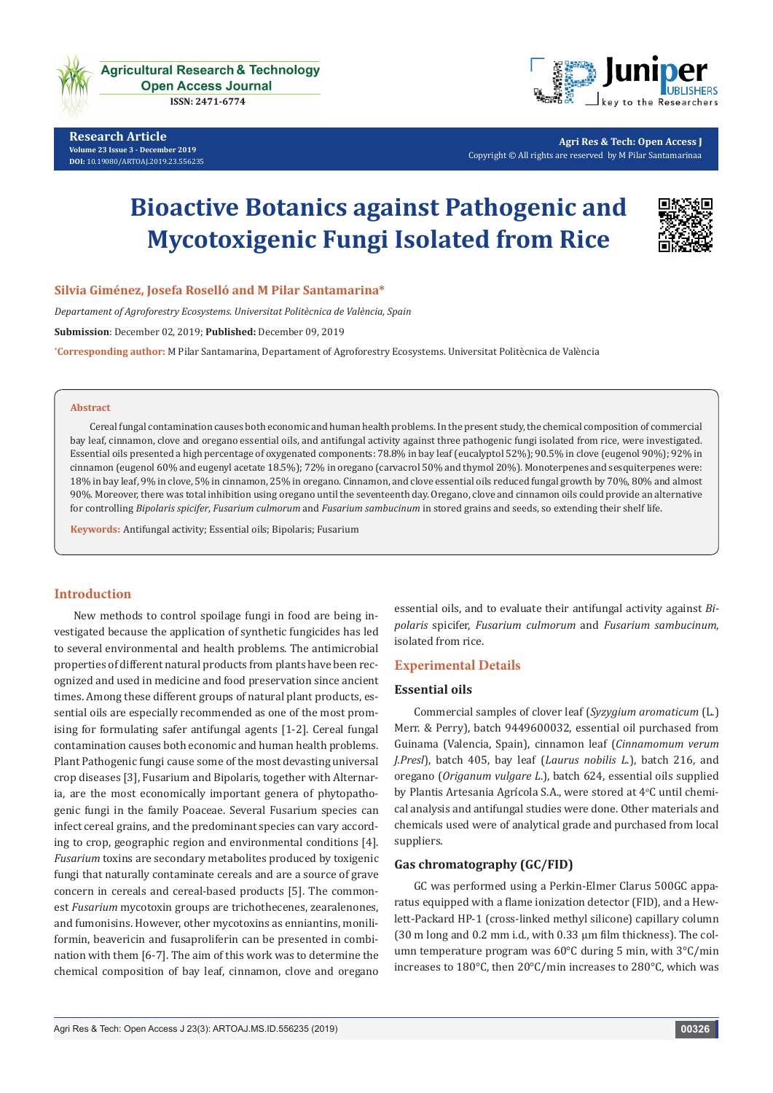

**Agricultural Research & Technology Open Access Journal** 

ISSN: 2471-6774

**Research Article Volume 23 Issue 3 - December 2019 [DOI:](http://dx.doi.org/10.19080/artoaj.2016.02.555590
)** [10.19080/ARTOAJ.2019.23.556235](http://dx.doi.org/10.19080/ARTOAJ.2019.23.556235)



**Agri Res & Tech: Open Access J** Copyright © All rights are reserved by M Pilar Santamarinaa

# **Bioactive Botanics against Pathogenic and Mycotoxigenic Fungi Isolated from Rice**



#### **Silvia Giménez, Josefa Roselló and M Pilar Santamarina\***

*Departament of Agroforestry Ecosystems. Universitat Politècnica de València, Spain* **Submission**: December 02, 2019; **Published:** December 09, 2019

**\* Corresponding author:** M Pilar Santamarina, Departament of Agroforestry Ecosystems. Universitat Politècnica de València

#### **Abstract**

Cereal fungal contamination causes both economic and human health problems. In the present study, the chemical composition of commercial bay leaf, cinnamon, clove and oregano essential oils, and antifungal activity against three pathogenic fungi isolated from rice, were investigated. Essential oils presented a high percentage of oxygenated components: 78.8% in bay leaf (eucalyptol 52%); 90.5% in clove (eugenol 90%); 92% in cinnamon (eugenol 60% and eugenyl acetate 18.5%); 72% in oregano (carvacrol 50% and thymol 20%). Monoterpenes and sesquiterpenes were: 18% in bay leaf, 9% in clove, 5% in cinnamon, 25% in oregano. Cinnamon, and clove essential oils reduced fungal growth by 70%, 80% and almost 90%. Moreover, there was total inhibition using oregano until the seventeenth day. Oregano, clove and cinnamon oils could provide an alternative for controlling *Bipolaris spicifer*, *Fusarium culmorum* and *Fusarium sambucinum* in stored grains and seeds, so extending their shelf life.

**Keywords:** Antifungal activity; Essential oils; Bipolaris; Fusarium

#### **Introduction**

New methods to control spoilage fungi in food are being investigated because the application of synthetic fungicides has led to several environmental and health problems. The antimicrobial properties of different natural products from plants have been recognized and used in medicine and food preservation since ancient times. Among these different groups of natural plant products, essential oils are especially recommended as one of the most promising for formulating safer antifungal agents [1-2]. Cereal fungal contamination causes both economic and human health problems. Plant Pathogenic fungi cause some of the most devasting universal crop diseases [3], Fusarium and Bipolaris, together with Alternaria, are the most economically important genera of phytopathogenic fungi in the family Poaceae. Several Fusarium species can infect cereal grains, and the predominant species can vary according to crop, geographic region and environmental conditions [4]. *Fusarium* toxins are secondary metabolites produced by toxigenic fungi that naturally contaminate cereals and are a source of grave concern in cereals and cereal-based products [5]. The commonest *Fusarium* mycotoxin groups are trichothecenes, zearalenones, and fumonisins. However, other mycotoxins as enniantins, moniliformin, beavericin and fusaproliferin can be presented in combination with them [6-7]. The aim of this work was to determine the chemical composition of bay leaf, cinnamon, clove and oregano essential oils, and to evaluate their antifungal activity against *Bipolaris* spicifer, *Fusarium culmorum* and *Fusarium sambucinum*, isolated from rice.

#### **Experimental Details**

#### **Essential oils**

Commercial samples of clover leaf (*Syzygium aromaticum* (L.) Merr. & Perry), batch 9449600032, essential oil purchased from Guinama (Valencia, Spain), cinnamon leaf (*Cinnamomum verum J.Presl*), batch 405, bay leaf (*Laurus nobilis L*.), batch 216, and oregano (*Origanum vulgare L*.), batch 624, essential oils supplied by Plantis Artesania Agrícola S.A., were stored at 4°C until chemical analysis and antifungal studies were done. Other materials and chemicals used were of analytical grade and purchased from local suppliers.

#### **Gas chromatography (GC/FID)**

GC was performed using a Perkin-Elmer Clarus 500GC apparatus equipped with a flame ionization detector (FID), and a Hewlett-Packard HP-1 (cross-linked methyl silicone) capillary column (30 m long and 0.2 mm i.d., with 0.33 µm film thickness). The column temperature program was 60°C during 5 min, with 3°C/min increases to 180°C, then 20°C/min increases to 280°C, which was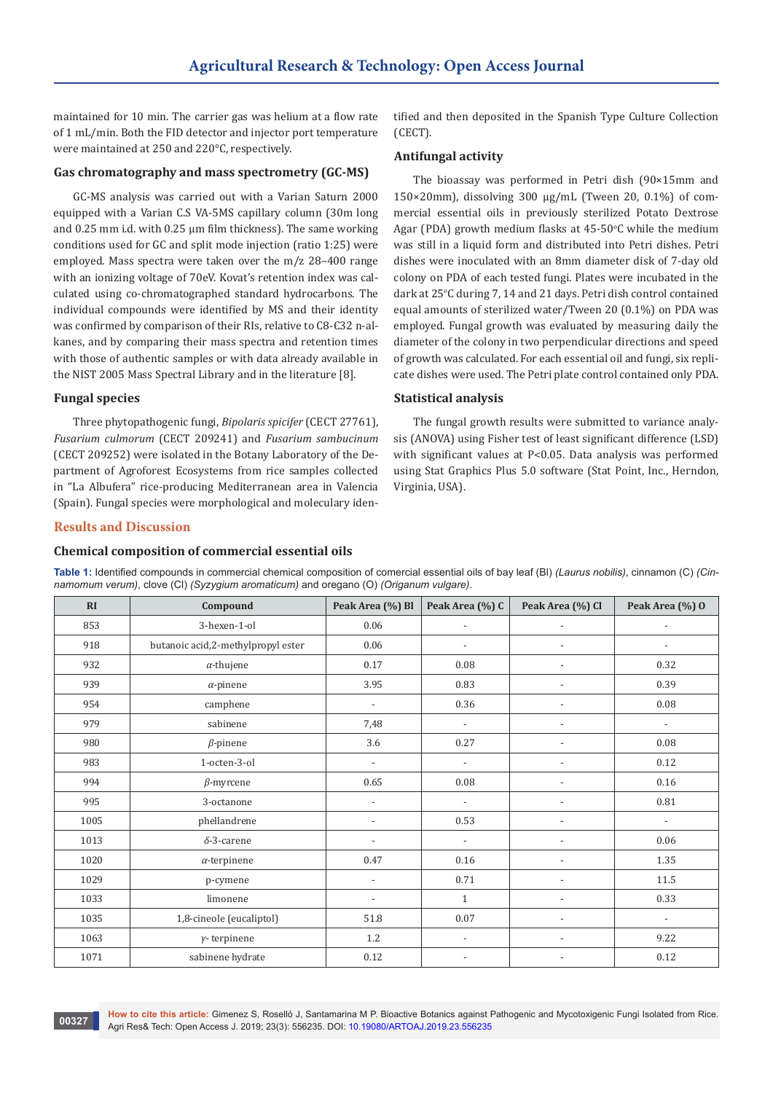maintained for 10 min. The carrier gas was helium at a flow rate of 1 mL/min. Both the FID detector and injector port temperature were maintained at 250 and 220°C, respectively.

#### **Gas chromatography and mass spectrometry (GC-MS)**

GC-MS analysis was carried out with a Varian Saturn 2000 equipped with a Varian C.S VA-5MS capillary column (30m long and 0.25 mm i.d. with 0.25 µm film thickness). The same working conditions used for GC and split mode injection (ratio 1:25) were employed. Mass spectra were taken over the m/z 28–400 range with an ionizing voltage of 70eV. Kovat's retention index was calculated using co-chromatographed standard hydrocarbons. The individual compounds were identified by MS and their identity was confirmed by comparison of their RIs, relative to C8-C32 n-alkanes, and by comparing their mass spectra and retention times with those of authentic samples or with data already available in the NIST 2005 Mass Spectral Library and in the literature [8].

#### **Fungal species**

Three phytopathogenic fungi, *Bipolaris spicifer* (CECT 27761), *Fusarium culmorum* (CECT 209241) and *Fusarium sambucinum* (CECT 209252) were isolated in the Botany Laboratory of the Department of Agroforest Ecosystems from rice samples collected in "La Albufera" rice-producing Mediterranean area in Valencia (Spain). Fungal species were morphological and moleculary identified and then deposited in the Spanish Type Culture Collection (CECT).

### **Antifungal activity**

The bioassay was performed in Petri dish (90×15mm and  $150\times20$ mm), dissolving 300  $\mu$ g/mL (Tween 20, 0.1%) of commercial essential oils in previously sterilized Potato Dextrose Agar (PDA) growth medium flasks at 45-50°C while the medium was still in a liquid form and distributed into Petri dishes. Petri dishes were inoculated with an 8mm diameter disk of 7-day old colony on PDA of each tested fungi. Plates were incubated in the dark at 25°C during 7, 14 and 21 days. Petri dish control contained equal amounts of sterilized water/Tween 20 (0.1%) on PDA was employed. Fungal growth was evaluated by measuring daily the diameter of the colony in two perpendicular directions and speed of growth was calculated. For each essential oil and fungi, six replicate dishes were used. The Petri plate control contained only PDA.

#### **Statistical analysis**

The fungal growth results were submitted to variance analysis (ANOVA) using Fisher test of least significant difference (LSD) with significant values at P<0.05. Data analysis was performed using Stat Graphics Plus 5.0 software (Stat Point, Inc., Herndon, Virginia, USA).

#### **Results and Discussion**

#### **Chemical composition of commercial essential oils**

**Table 1:** Identified compounds in commercial chemical composition of comercial essential oils of bay leaf (Bl) *(Laurus nobilis)*, cinnamon (C) *(Cinnamomum verum)*, clove (Cl) *(Syzygium aromaticum)* and oregano (O) *(Origanum vulgare)*.

| RI   | Compound                           | Peak Area (%) Bl         | Peak Area (%) C          | Peak Area (%) Cl         | Peak Area (%) 0          |
|------|------------------------------------|--------------------------|--------------------------|--------------------------|--------------------------|
| 853  | 3-hexen-1-ol                       | 0.06                     | $\overline{\phantom{a}}$ |                          |                          |
| 918  | butanoic acid,2-methylpropyl ester | 0.06                     | $\overline{\phantom{a}}$ | $\overline{a}$           | $\overline{\phantom{a}}$ |
| 932  | $\alpha$ -thujene                  | 0.17                     | 0.08                     | $\overline{a}$           | 0.32                     |
| 939  | $\alpha$ -pinene                   | 3.95                     | 0.83                     | $\overline{a}$           | 0.39                     |
| 954  | camphene                           | $\overline{\phantom{a}}$ | 0.36                     | $\overline{\phantom{a}}$ | 0.08                     |
| 979  | sabinene                           | 7,48                     | $\overline{\phantom{a}}$ | $\overline{\phantom{a}}$ | $\overline{\phantom{a}}$ |
| 980  | $\beta$ -pinene                    | 3.6                      | 0.27                     | $\overline{\phantom{a}}$ | $0.08\,$                 |
| 983  | 1-octen-3-ol                       | $\frac{1}{2}$            | $\overline{\phantom{a}}$ | $\overline{a}$           | 0.12                     |
| 994  | $\beta$ -myrcene                   | 0.65                     | 0.08                     |                          | 0.16                     |
| 995  | 3-octanone                         | $\overline{a}$           | $\overline{\phantom{a}}$ |                          | 0.81                     |
| 1005 | phellandrene                       | $\overline{a}$           | 0.53                     |                          | $\overline{\phantom{0}}$ |
| 1013 | $\delta$ -3-carene                 |                          | $\overline{\phantom{a}}$ |                          | 0.06                     |
| 1020 | $\alpha$ -terpinene                | 0.47                     | 0.16                     |                          | 1.35                     |
| 1029 | p-cymene                           | $\overline{\phantom{a}}$ | 0.71                     |                          | 11.5                     |
| 1033 | limonene                           | $\overline{\phantom{a}}$ | $\mathbf{1}$             |                          | 0.33                     |
| 1035 | 1,8-cineole (eucaliptol)           | 51.8                     | 0.07                     |                          | $\overline{\phantom{a}}$ |
| 1063 | $\gamma$ -terpinene                | 1.2                      | $\overline{a}$           |                          | 9.22                     |
| 1071 | sabinene hydrate                   | 0.12                     |                          |                          | 0.12                     |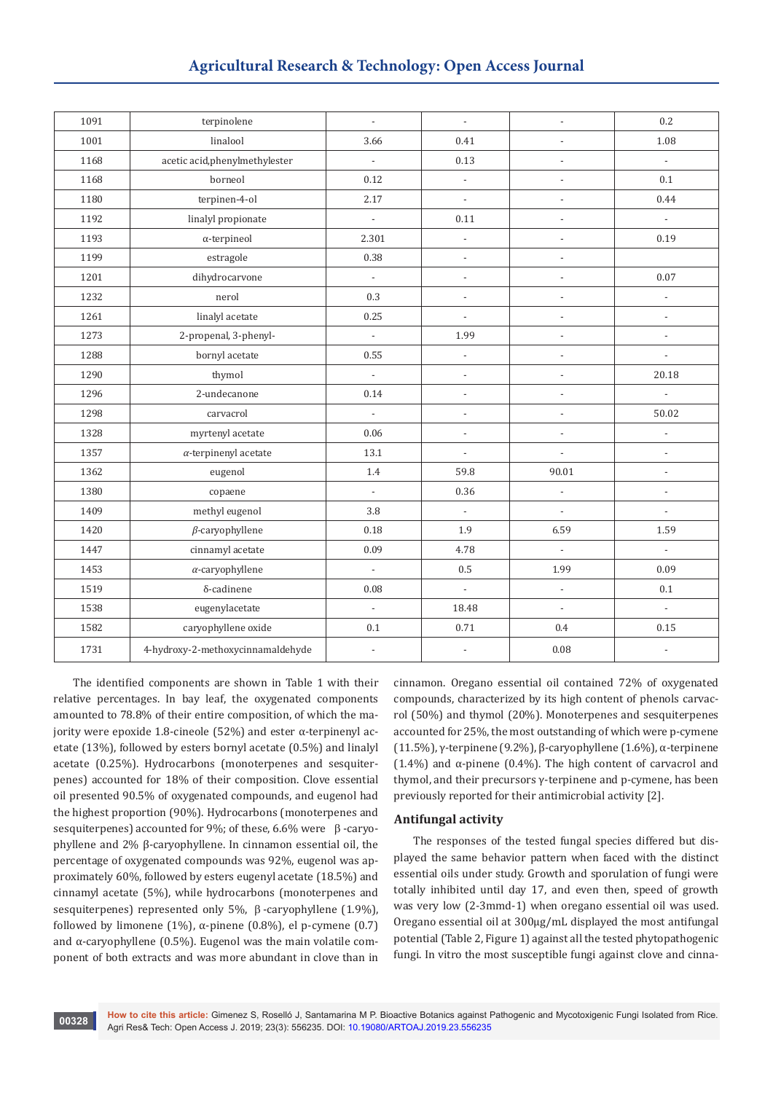## **Agricultural Research & Technology: Open Access Journal**

| 1091 | terpinolene                       | $\overline{\phantom{a}}$ | $\blacksquare$           | $\overline{\phantom{a}}$ | 0.2                         |
|------|-----------------------------------|--------------------------|--------------------------|--------------------------|-----------------------------|
| 1001 | linalool                          | 3.66                     | 0.41                     | ÷,                       | 1.08                        |
| 1168 | acetic acid, phenylmethylester    | $\frac{1}{2}$            | 0.13                     | $\overline{\phantom{a}}$ | $\overline{\phantom{a}}$    |
| 1168 | borneol                           | 0.12                     | $\Box$                   | $\overline{\phantom{a}}$ | 0.1                         |
| 1180 | terpinen-4-ol                     | 2.17                     | $\overline{a}$           | $\overline{\phantom{a}}$ | 0.44                        |
| 1192 | linalyl propionate                | $\Box$                   | 0.11                     | $\overline{\phantom{a}}$ | $\mathbb{Z}^2$              |
| 1193 | $\alpha$ -terpineol               | 2.301                    | $\overline{\phantom{m}}$ | ÷,                       | 0.19                        |
| 1199 | estragole                         | 0.38                     | $\overline{a}$           | $\overline{a}$           |                             |
| 1201 | dihydrocarvone                    | $\Box$                   | $\centerdot$             | $\overline{\phantom{a}}$ | 0.07                        |
| 1232 | nerol                             | 0.3                      | $\overline{\phantom{a}}$ | $\overline{\phantom{a}}$ | $\overline{\phantom{a}}$    |
| 1261 | linalyl acetate                   | 0.25                     | $\overline{a}$           | $\overline{\phantom{a}}$ | $\overline{\phantom{a}}$    |
| 1273 | 2-propenal, 3-phenyl-             | $\Box$                   | 1.99                     | $\overline{\phantom{a}}$ | $\overline{\phantom{a}}$    |
| 1288 | bornyl acetate                    | 0.55                     | $\overline{a}$           | $\overline{\phantom{a}}$ | $\overline{a}$              |
| 1290 | thymol                            | $\frac{1}{2}$            | $\overline{a}$           | $\overline{a}$           | 20.18                       |
| 1296 | 2-undecanone                      | 0.14                     | $\overline{\phantom{a}}$ | $\overline{\phantom{a}}$ | $\Box$                      |
| 1298 | carvacrol                         | $\blacksquare$           | $\frac{1}{2}$            | $\overline{\phantom{a}}$ | 50.02                       |
| 1328 | myrtenyl acetate                  | 0.06                     | $\overline{a}$           | $\frac{1}{2}$            | $\overline{\phantom{a}}$    |
| 1357 | $\alpha$ -terpinenyl acetate      | 13.1                     | $\centerdot$             | $\overline{\phantom{a}}$ | $\overline{\phantom{a}}$    |
| 1362 | eugenol                           | 1.4                      | 59.8                     | 90.01                    | $\overline{a}$              |
| 1380 | copaene                           | $\blacksquare$           | 0.36                     | $\overline{\phantom{a}}$ | $\overline{\phantom{0}}$    |
| 1409 | methyl eugenol                    | 3.8                      | $\overline{\phantom{a}}$ | $\overline{\phantom{a}}$ | $\blacksquare$              |
| 1420 | $\beta$ -caryophyllene            | 0.18                     | 1.9                      | 6.59                     | 1.59                        |
| 1447 | cinnamyl acetate                  | 0.09                     | 4.78                     | $\mathbb{Z}^2$           | $\mathcal{L}^{\mathcal{A}}$ |
| 1453 | $\alpha$ -caryophyllene           | $\blacksquare$           | 0.5                      | 1.99                     | 0.09                        |
| 1519 | $\delta$ -cadinene                | 0.08                     | $\frac{1}{2}$            | $\overline{\phantom{a}}$ | $0.1\,$                     |
| 1538 | eugenylacetate                    | $\overline{\phantom{a}}$ | 18.48                    | $\overline{\phantom{a}}$ | $\overline{\phantom{a}}$    |
| 1582 | caryophyllene oxide               | 0.1                      | 0.71                     | 0.4                      | 0.15                        |
| 1731 | 4-hydroxy-2-methoxycinnamaldehyde | $\overline{\phantom{a}}$ | $\overline{a}$           | $0.08\,$                 | $\overline{\phantom{a}}$    |

The identified components are shown in Table 1 with their relative percentages. In bay leaf, the oxygenated components amounted to 78.8% of their entire composition, of which the majority were epoxide 1.8-cineole (52%) and ester  $\alpha$ -terpinenyl acetate (13%), followed by esters bornyl acetate (0.5%) and linalyl acetate (0.25%). Hydrocarbons (monoterpenes and sesquiterpenes) accounted for 18% of their composition. Clove essential oil presented 90.5% of oxygenated compounds, and eugenol had the highest proportion (90%). Hydrocarbons (monoterpenes and sesquiterpenes) accounted for 9%; of these, 6.6% were  $\beta$  -caryophyllene and 2% β-caryophyllene. In cinnamon essential oil, the percentage of oxygenated compounds was 92%, eugenol was approximately 60%, followed by esters eugenyl acetate (18.5%) and cinnamyl acetate (5%), while hydrocarbons (monoterpenes and sesquiterpenes) represented only 5%,  $\beta$ -caryophyllene (1.9%), followed by limonene (1%), α-pinene (0.8%), el p-cymene (0.7) and  $\alpha$ -caryophyllene (0.5%). Eugenol was the main volatile component of both extracts and was more abundant in clove than in

cinnamon. Oregano essential oil contained 72% of oxygenated compounds, characterized by its high content of phenols carvacrol (50%) and thymol (20%). Monoterpenes and sesquiterpenes accounted for 25%, the most outstanding of which were p-cymene (11.5%), γ-terpinene (9.2%), β-caryophyllene (1.6%), α-terpinene (1.4%) and α-pinene (0.4%). The high content of carvacrol and thymol, and their precursors γ-terpinene and p-cymene, has been previously reported for their antimicrobial activity [2].

## **Antifungal activity**

The responses of the tested fungal species differed but displayed the same behavior pattern when faced with the distinct essential oils under study. Growth and sporulation of fungi were totally inhibited until day 17, and even then, speed of growth was very low (2-3mmd-1) when oregano essential oil was used. Oregano essential oil at 300µg/mL displayed the most antifungal potential (Table 2, Figure 1) against all the tested phytopathogenic fungi. In vitro the most susceptible fungi against clove and cinna-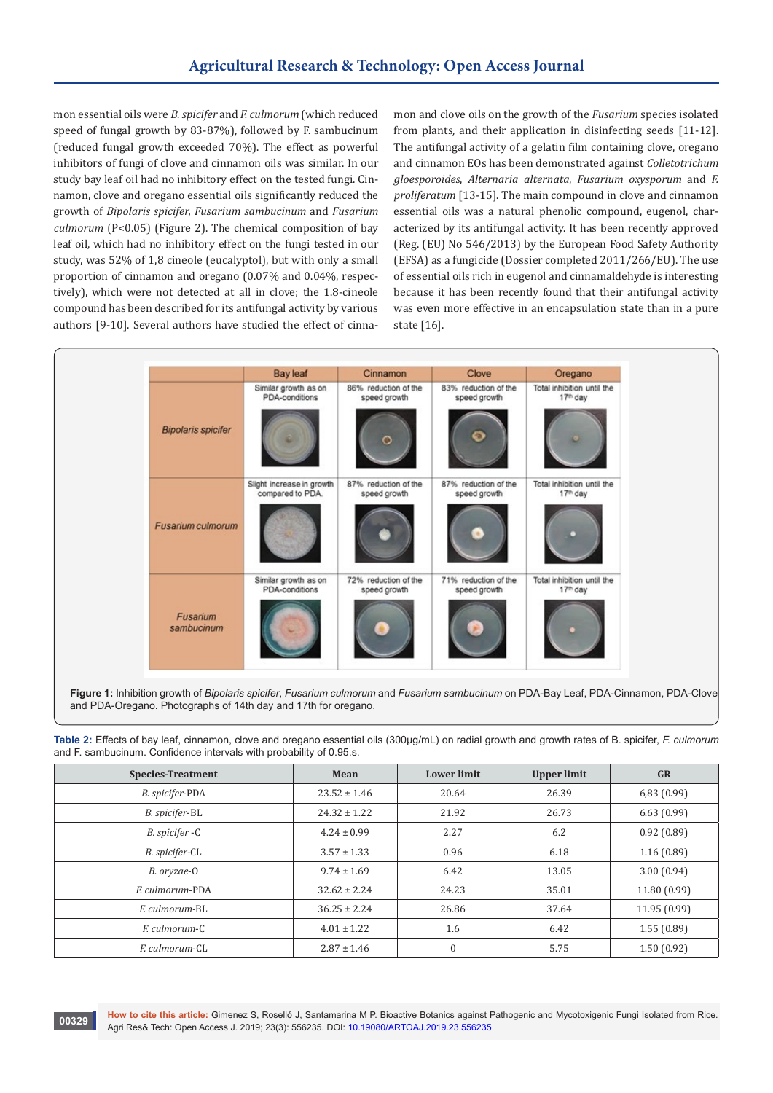mon essential oils were *B. spicifer* and *F. culmorum* (which reduced speed of fungal growth by 83-87%), followed by F. sambucinum (reduced fungal growth exceeded 70%). The effect as powerful inhibitors of fungi of clove and cinnamon oils was similar. In our study bay leaf oil had no inhibitory effect on the tested fungi. Cinnamon, clove and oregano essential oils significantly reduced the growth of *Bipolaris spicifer, Fusarium sambucinum* and *Fusarium culmorum* (P<0.05) (Figure 2). The chemical composition of bay leaf oil, which had no inhibitory effect on the fungi tested in our study, was 52% of 1,8 cineole (eucalyptol), but with only a small proportion of cinnamon and oregano (0.07% and 0.04%, respectively), which were not detected at all in clove; the 1.8-cineole compound has been described for its antifungal activity by various authors [9-10]. Several authors have studied the effect of cinna-

mon and clove oils on the growth of the *Fusarium* species isolated from plants, and their application in disinfecting seeds [11-12]. The antifungal activity of a gelatin film containing clove, oregano and cinnamon EOs has been demonstrated against *Colletotrichum gloesporoides*, *Alternaria alternata*, *Fusarium oxysporum* and *F. proliferatum* [13-15]. The main compound in clove and cinnamon essential oils was a natural phenolic compound, eugenol, characterized by its antifungal activity. It has been recently approved (Reg. (EU) No 546/2013) by the European Food Safety Authority (EFSA) as a fungicide (Dossier completed 2011/266/EU). The use of essential oils rich in eugenol and cinnamaldehyde is interesting because it has been recently found that their antifungal activity was even more effective in an encapsulation state than in a pure state [16].



**Figure 1:** Inhibition growth of *Bipolaris spicifer*, *Fusarium culmorum* and *Fusarium sambucinum* on PDA-Bay Leaf, PDA-Cinnamon, PDA-Clove and PDA-Oregano. Photographs of 14th day and 17th for oregano.

**Table 2:** Effects of bay leaf, cinnamon, clove and oregano essential oils (300µg/mL) on radial growth and growth rates of B. spicifer, *F. culmorum* and F. sambucinum. Confidence intervals with probability of 0.95.s.

| <b>Species-Treatment</b> | Mean             | <b>Lower limit</b> | <b>Upper limit</b> | <b>GR</b>    |
|--------------------------|------------------|--------------------|--------------------|--------------|
| B. spicifer-PDA          | $23.52 \pm 1.46$ | 20.64              | 26.39              | 6,83(0.99)   |
| B. spicifer-BL           | $24.32 \pm 1.22$ | 21.92              | 26.73              | 6.63(0.99)   |
| B. spicifer -C           | $4.24 \pm 0.99$  | 2.27               | 6.2                | 0.92(0.89)   |
| B. spicifer-CL           | $3.57 \pm 1.33$  | 0.96               | 6.18               | 1.16(0.89)   |
| B. oryzae-O              | $9.74 \pm 1.69$  | 6.42               | 13.05              | 3.00(0.94)   |
| <i>F. culmorum-PDA</i>   | $32.62 \pm 2.24$ | 24.23              | 35.01              | 11.80 (0.99) |
| E culmorum-BL            | $36.25 \pm 2.24$ | 26.86              | 37.64              | 11.95 (0.99) |
| E culmorum-C             | $4.01 \pm 1.22$  | 1.6                | 6.42               | 1.55(0.89)   |
| F. culmorum-CL           | $2.87 \pm 1.46$  | $\Omega$           | 5.75               | 1.50(0.92)   |

**How to cite this article:** Gimenez S, Roselló J, Santamarina M P. Bioactive Botanics against Pathogenic and Mycotoxigenic Fungi Isolated from Rice. Agri Res& Tech: Open Access J. 2019; 23(3): 556235. DOI: [10.19080/ARTOAJ.2019.23.556235](http://dx.doi.org/10.19080/ARTOAJ.2019.23.556235) **<sup>00329</sup>**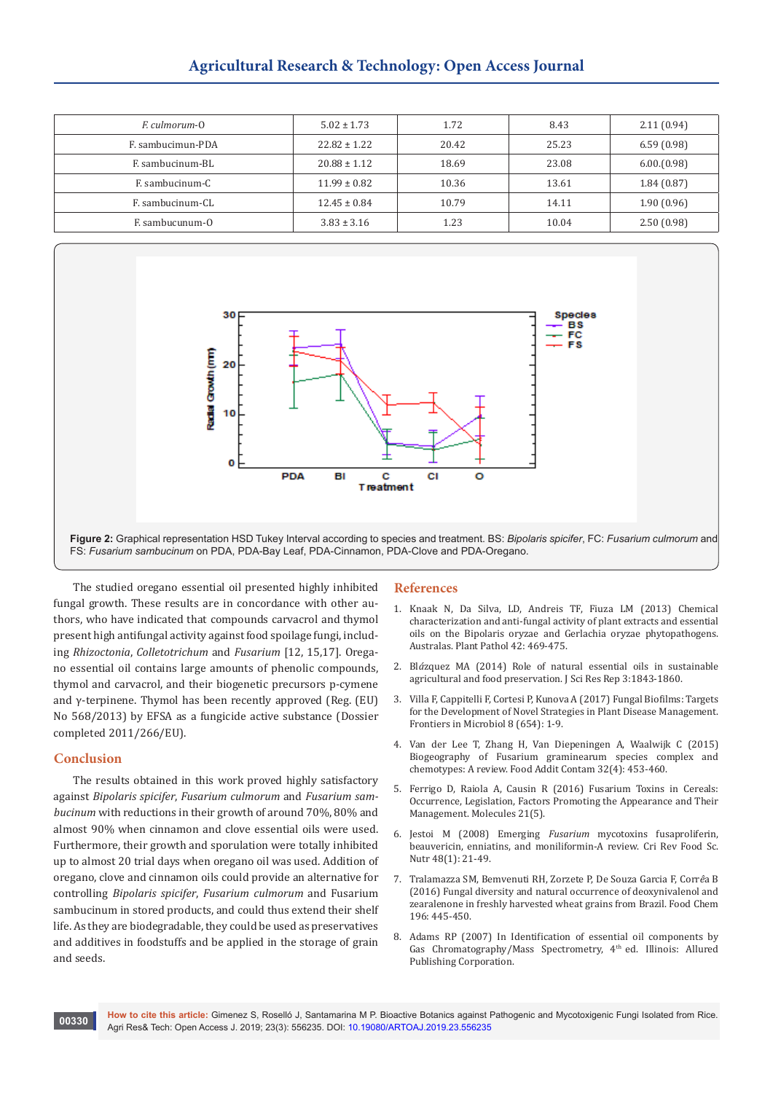# **Agricultural Research & Technology: Open Access Journal**

| <i>F. culmorum-O</i> | $5.02 \pm 1.73$  | 1.72  | 8.43  | 2.11(0.94) |
|----------------------|------------------|-------|-------|------------|
| F. sambucimun-PDA    | $22.82 \pm 1.22$ | 20.42 | 25.23 | 6.59(0.98) |
| F. sambucinum-BL     | $20.88 \pm 1.12$ | 18.69 | 23.08 | 6.00(0.98) |
| F. sambucinum-C      | $11.99 \pm 0.82$ | 10.36 | 13.61 | 1.84(0.87) |
| F. sambucinum-CL     | $12.45 \pm 0.84$ | 10.79 | 14.11 | 1.90(0.96) |
| F. sambucunum-0      | $3.83 \pm 3.16$  | 1.23  | 10.04 | 2.50(0.98) |



The studied oregano essential oil presented highly inhibited fungal growth. These results are in concordance with other authors, who have indicated that compounds carvacrol and thymol present high antifungal activity against food spoilage fungi, including *Rhizoctonia*, *Colletotrichum* and *Fusarium* [12, 15,17]. Oregano essential oil contains large amounts of phenolic compounds, thymol and carvacrol, and their biogenetic precursors p-cymene and γ-terpinene. Thymol has been recently approved (Reg. (EU) No 568/2013) by EFSA as a fungicide active substance (Dossier completed 2011/266/EU).

#### **Conclusion**

The results obtained in this work proved highly satisfactory against *Bipolaris spicifer*, *Fusarium culmorum* and *Fusarium sambucinum* with reductions in their growth of around 70%, 80% and almost 90% when cinnamon and clove essential oils were used. Furthermore, their growth and sporulation were totally inhibited up to almost 20 trial days when oregano oil was used. Addition of oregano, clove and cinnamon oils could provide an alternative for controlling *Bipolaris spicifer*, *Fusarium culmorum* and Fusarium sambucinum in stored products, and could thus extend their shelf life. As they are biodegradable, they could be used as preservatives and additives in foodstuffs and be applied in the storage of grain and seeds.

#### **References**

- 1. Knaak N, Da Silva, LD, Andreis TF, Fiuza LM (2013) Chemical characterization and anti-fungal activity of plant extracts and essential oils on the Bipolaris oryzae and Gerlachia oryzae phytopathogens. Australas. Plant Pathol 42: 469-475.
- 2. Bl*á*zquez MA (2014) Role of natural essential oils in sustainable agricultural and food preservation. J Sci Res Rep 3:1843-1860.
- 3. [Villa F, Cappitelli F, Cortesi P, Kunova A \(2017\) Fungal Biofilms: Targets](https://www.ncbi.nlm.nih.gov/pubmed/28450858)  [for the Development of Novel Strategies in Plant Disease Management.](https://www.ncbi.nlm.nih.gov/pubmed/28450858)  [Frontiers in Microbiol 8 \(654\): 1-9.](https://www.ncbi.nlm.nih.gov/pubmed/28450858)
- 4. [Van der Lee T, Zhang H, Van Diepeningen A, Waalwijk C \(2015\)](https://www.ncbi.nlm.nih.gov/pubmed/25530109)  [Biogeography of Fusarium graminearum species complex and](https://www.ncbi.nlm.nih.gov/pubmed/25530109)  [chemotypes: A review. Food Addit Contam 32\(4\): 453-460.](https://www.ncbi.nlm.nih.gov/pubmed/25530109)
- 5. [Ferrigo D, Raiola A, Causin R \(2016\) Fusarium Toxins in Cereals:](https://www.ncbi.nlm.nih.gov/pubmed/27187340)  [Occurrence, Legislation, Factors Promoting the Appearance and Their](https://www.ncbi.nlm.nih.gov/pubmed/27187340)  [Management. Molecules 21\(5\).](https://www.ncbi.nlm.nih.gov/pubmed/27187340)
- 6. [Jestoi M \(2008\) Emerging](https://www.ncbi.nlm.nih.gov/pubmed/18274964) *Fusarium* mycotoxins fusaproliferin, [beauvericin, enniatins, and moniliformin-A review. Cri Rev Food Sc.](https://www.ncbi.nlm.nih.gov/pubmed/18274964)  [Nutr 48\(1\): 21-49.](https://www.ncbi.nlm.nih.gov/pubmed/18274964)
- 7. [Tralamazza SM, Bemvenuti RH, Zorzete P, De Souza Garcia F, Corr](https://www.ncbi.nlm.nih.gov/pubmed/26593513)*ê*a B [\(2016\) Fungal diversity and natural occurrence of deoxynivalenol and](https://www.ncbi.nlm.nih.gov/pubmed/26593513)  [zearalenone in freshly harvested wheat grains from Brazil. Food Chem](https://www.ncbi.nlm.nih.gov/pubmed/26593513)  [196: 445-450.](https://www.ncbi.nlm.nih.gov/pubmed/26593513)
- 8. Adams RP (2007) In Identification of essential oil components by Gas Chromatography/Mass Spectrometry, 4<sup>th</sup> ed. Illinois: Allured Publishing Corporation.